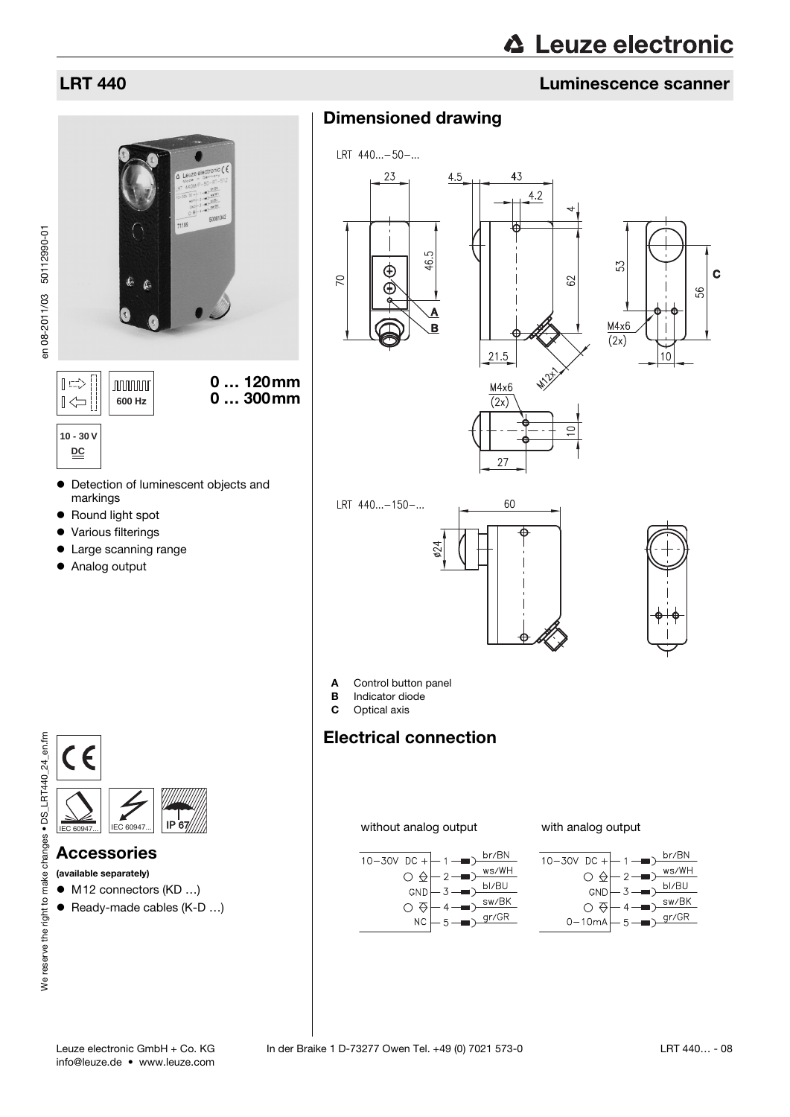# LRT 440 Luminescence scanner

# Dimensioned drawing



### Accessories

(available separately)

● M12 connectors (KD ...)

 $IEC 609$ 

● Ready-made cables (K-D ...)

 $\overline{2}$  $\rightarrow$ 

 $-3$ 

 $\blacksquare$ 

 $\rightarrow$ 

 $br/BN$ 

 $\scriptstyle\rm W S/\rm WH$ 

bl/BU

 $\texttt{sw/BK}$ 

 $gr/GR$ 

without analog output with analog output



**10 - 30 V DC**

 $|\hspace{.04cm} \text{I} \hspace{.02cm} \text{I} \hspace{.02cm} \text{I} \hspace{.02cm} \text{I} \hspace{.02cm}$ 

 $\mathbb{R}$ 

- $\bullet$  Detection of luminescent objects and markings
- Round light spot
- Various filterings
- Large scanning range

**JUULUUT** 

Analog output





 $10 - 30V$  DC +

 $\circ$   $\circ$ 

GND

 $\circ$   $\circ$ 

 $NC$